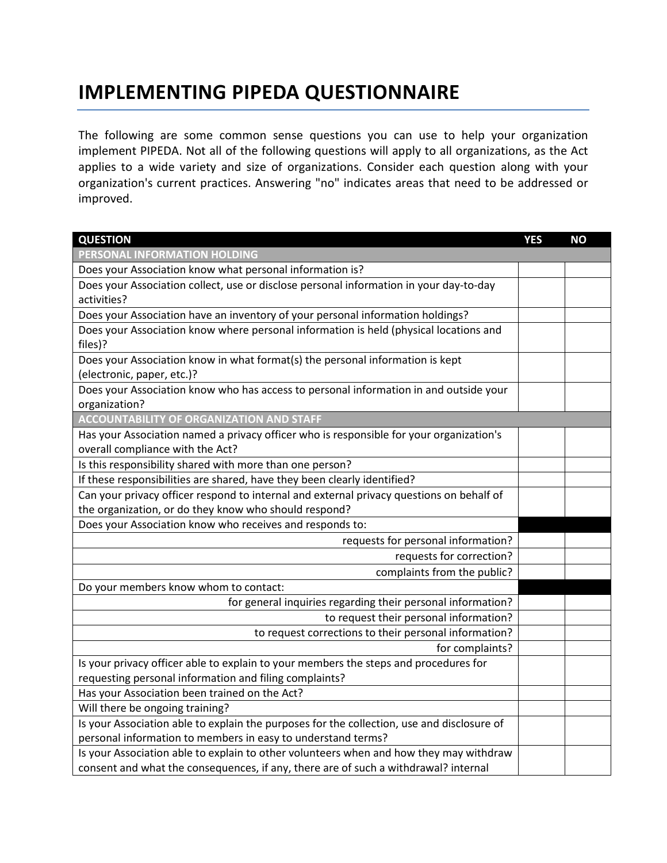## **IMPLEMENTING PIPEDA QUESTIONNAIRE**

The following are some common sense questions you can use to help your organization implement PIPEDA. Not all of the following questions will apply to all organizations, as the Act applies to a wide variety and size of organizations. Consider each question along with your organization's current practices. Answering "no" indicates areas that need to be addressed or improved.

| <b>QUESTION</b>                                                                            | <b>YES</b> | <b>NO</b> |
|--------------------------------------------------------------------------------------------|------------|-----------|
| PERSONAL INFORMATION HOLDING                                                               |            |           |
| Does your Association know what personal information is?                                   |            |           |
| Does your Association collect, use or disclose personal information in your day-to-day     |            |           |
| activities?                                                                                |            |           |
| Does your Association have an inventory of your personal information holdings?             |            |           |
| Does your Association know where personal information is held (physical locations and      |            |           |
| files)?                                                                                    |            |           |
| Does your Association know in what format(s) the personal information is kept              |            |           |
| (electronic, paper, etc.)?                                                                 |            |           |
| Does your Association know who has access to personal information in and outside your      |            |           |
| organization?                                                                              |            |           |
| <b>ACCOUNTABILITY OF ORGANIZATION AND STAFF</b>                                            |            |           |
| Has your Association named a privacy officer who is responsible for your organization's    |            |           |
| overall compliance with the Act?                                                           |            |           |
| Is this responsibility shared with more than one person?                                   |            |           |
| If these responsibilities are shared, have they been clearly identified?                   |            |           |
| Can your privacy officer respond to internal and external privacy questions on behalf of   |            |           |
| the organization, or do they know who should respond?                                      |            |           |
| Does your Association know who receives and responds to:                                   |            |           |
| requests for personal information?                                                         |            |           |
| requests for correction?                                                                   |            |           |
| complaints from the public?                                                                |            |           |
| Do your members know whom to contact:                                                      |            |           |
| for general inquiries regarding their personal information?                                |            |           |
| to request their personal information?                                                     |            |           |
| to request corrections to their personal information?                                      |            |           |
| for complaints?                                                                            |            |           |
| Is your privacy officer able to explain to your members the steps and procedures for       |            |           |
| requesting personal information and filing complaints?                                     |            |           |
| Has your Association been trained on the Act?                                              |            |           |
| Will there be ongoing training?                                                            |            |           |
| Is your Association able to explain the purposes for the collection, use and disclosure of |            |           |
| personal information to members in easy to understand terms?                               |            |           |
| Is your Association able to explain to other volunteers when and how they may withdraw     |            |           |
| consent and what the consequences, if any, there are of such a withdrawal? internal        |            |           |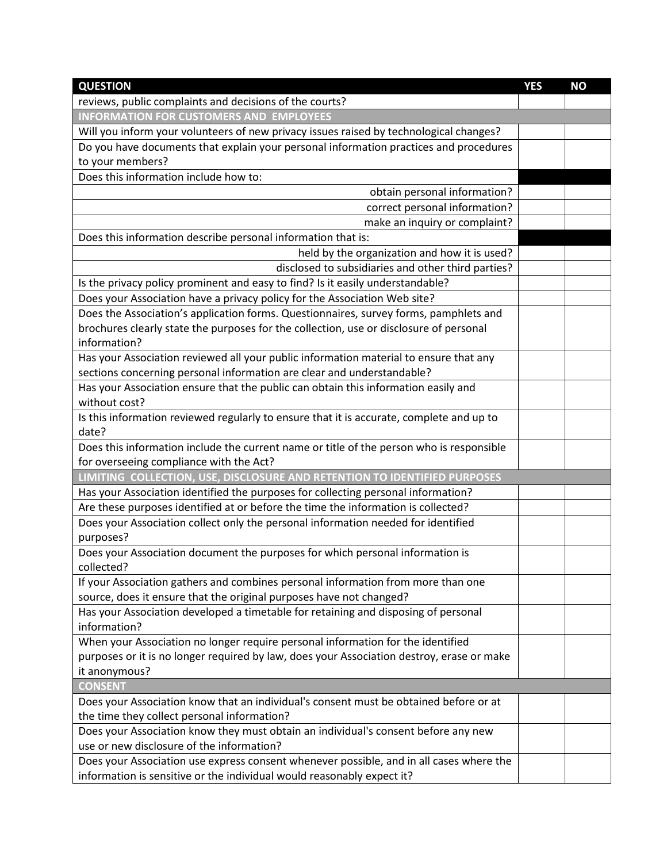| <b>QUESTION</b>                                                                           | <b>YES</b> | <b>NO</b> |
|-------------------------------------------------------------------------------------------|------------|-----------|
| reviews, public complaints and decisions of the courts?                                   |            |           |
| <b>INFORMATION FOR CUSTOMERS AND EMPLOYEES</b>                                            |            |           |
| Will you inform your volunteers of new privacy issues raised by technological changes?    |            |           |
| Do you have documents that explain your personal information practices and procedures     |            |           |
| to your members?                                                                          |            |           |
| Does this information include how to:                                                     |            |           |
| obtain personal information?                                                              |            |           |
| correct personal information?                                                             |            |           |
| make an inquiry or complaint?                                                             |            |           |
| Does this information describe personal information that is:                              |            |           |
| held by the organization and how it is used?                                              |            |           |
| disclosed to subsidiaries and other third parties?                                        |            |           |
| Is the privacy policy prominent and easy to find? Is it easily understandable?            |            |           |
| Does your Association have a privacy policy for the Association Web site?                 |            |           |
| Does the Association's application forms. Questionnaires, survey forms, pamphlets and     |            |           |
| brochures clearly state the purposes for the collection, use or disclosure of personal    |            |           |
| information?                                                                              |            |           |
| Has your Association reviewed all your public information material to ensure that any     |            |           |
| sections concerning personal information are clear and understandable?                    |            |           |
| Has your Association ensure that the public can obtain this information easily and        |            |           |
| without cost?                                                                             |            |           |
| Is this information reviewed regularly to ensure that it is accurate, complete and up to  |            |           |
| date?                                                                                     |            |           |
| Does this information include the current name or title of the person who is responsible  |            |           |
| for overseeing compliance with the Act?                                                   |            |           |
| LIMITING COLLECTION, USE, DISCLOSURE AND RETENTION TO IDENTIFIED PURPOSES                 |            |           |
| Has your Association identified the purposes for collecting personal information?         |            |           |
| Are these purposes identified at or before the time the information is collected?         |            |           |
| Does your Association collect only the personal information needed for identified         |            |           |
| purposes?                                                                                 |            |           |
| Does your Association document the purposes for which personal information is             |            |           |
| collected?                                                                                |            |           |
| If your Association gathers and combines personal information from more than one          |            |           |
| source, does it ensure that the original purposes have not changed?                       |            |           |
| Has your Association developed a timetable for retaining and disposing of personal        |            |           |
| information?                                                                              |            |           |
| When your Association no longer require personal information for the identified           |            |           |
| purposes or it is no longer required by law, does your Association destroy, erase or make |            |           |
| it anonymous?                                                                             |            |           |
| <b>CONSENT</b>                                                                            |            |           |
| Does your Association know that an individual's consent must be obtained before or at     |            |           |
| the time they collect personal information?                                               |            |           |
| Does your Association know they must obtain an individual's consent before any new        |            |           |
| use or new disclosure of the information?                                                 |            |           |
| Does your Association use express consent whenever possible, and in all cases where the   |            |           |
| information is sensitive or the individual would reasonably expect it?                    |            |           |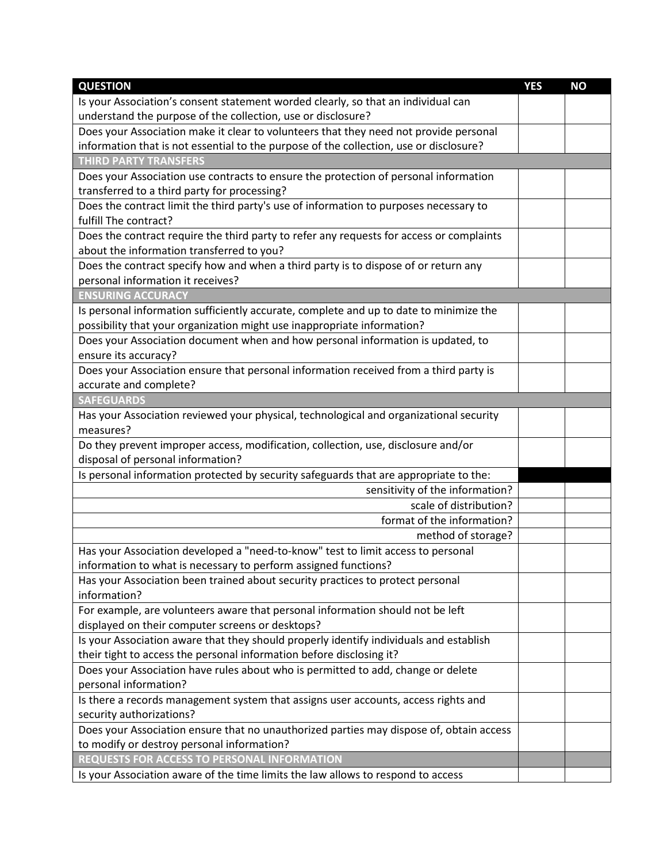| <b>QUESTION</b>                                                                                     | <b>YES</b> | <b>NO</b> |
|-----------------------------------------------------------------------------------------------------|------------|-----------|
| Is your Association's consent statement worded clearly, so that an individual can                   |            |           |
| understand the purpose of the collection, use or disclosure?                                        |            |           |
| Does your Association make it clear to volunteers that they need not provide personal               |            |           |
| information that is not essential to the purpose of the collection, use or disclosure?              |            |           |
| <b>THIRD PARTY TRANSFERS</b>                                                                        |            |           |
| Does your Association use contracts to ensure the protection of personal information                |            |           |
| transferred to a third party for processing?                                                        |            |           |
| Does the contract limit the third party's use of information to purposes necessary to               |            |           |
| fulfill The contract?                                                                               |            |           |
| Does the contract require the third party to refer any requests for access or complaints            |            |           |
| about the information transferred to you?                                                           |            |           |
| Does the contract specify how and when a third party is to dispose of or return any                 |            |           |
| personal information it receives?                                                                   |            |           |
| <b>ENSURING ACCURACY</b>                                                                            |            |           |
| Is personal information sufficiently accurate, complete and up to date to minimize the              |            |           |
| possibility that your organization might use inappropriate information?                             |            |           |
| Does your Association document when and how personal information is updated, to                     |            |           |
| ensure its accuracy?                                                                                |            |           |
| Does your Association ensure that personal information received from a third party is               |            |           |
| accurate and complete?                                                                              |            |           |
| <b>SAFEGUARDS</b>                                                                                   |            |           |
| Has your Association reviewed your physical, technological and organizational security<br>measures? |            |           |
| Do they prevent improper access, modification, collection, use, disclosure and/or                   |            |           |
| disposal of personal information?                                                                   |            |           |
| Is personal information protected by security safeguards that are appropriate to the:               |            |           |
| sensitivity of the information?                                                                     |            |           |
| scale of distribution?                                                                              |            |           |
| format of the information?                                                                          |            |           |
| method of storage?                                                                                  |            |           |
| Has your Association developed a "need-to-know" test to limit access to personal                    |            |           |
| information to what is necessary to perform assigned functions?                                     |            |           |
| Has your Association been trained about security practices to protect personal                      |            |           |
| information?                                                                                        |            |           |
| For example, are volunteers aware that personal information should not be left                      |            |           |
| displayed on their computer screens or desktops?                                                    |            |           |
| Is your Association aware that they should properly identify individuals and establish              |            |           |
| their tight to access the personal information before disclosing it?                                |            |           |
| Does your Association have rules about who is permitted to add, change or delete                    |            |           |
| personal information?                                                                               |            |           |
| Is there a records management system that assigns user accounts, access rights and                  |            |           |
| security authorizations?                                                                            |            |           |
| Does your Association ensure that no unauthorized parties may dispose of, obtain access             |            |           |
| to modify or destroy personal information?                                                          |            |           |
| REQUESTS FOR ACCESS TO PERSONAL INFORMATION                                                         |            |           |
| Is your Association aware of the time limits the law allows to respond to access                    |            |           |